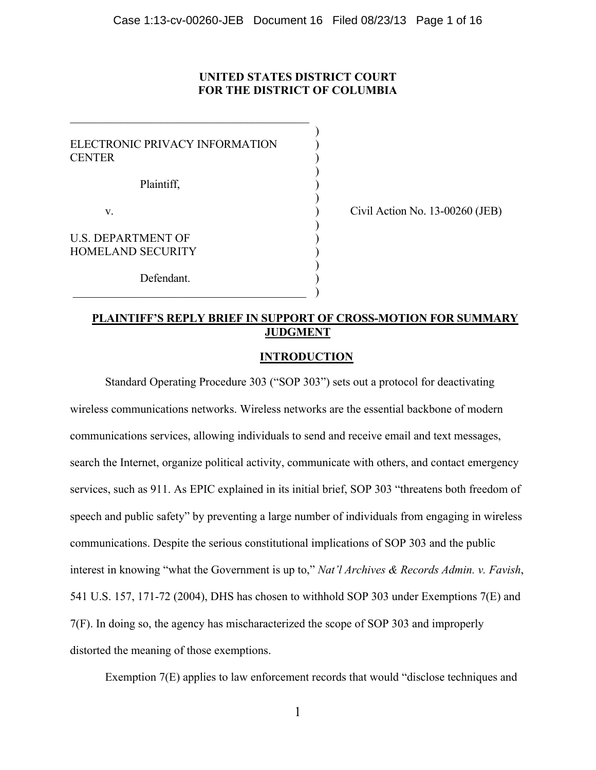# **UNITED STATES DISTRICT COURT FOR THE DISTRICT OF COLUMBIA**

| ELECTRONIC PRIVACY INFORMATION<br><b>CENTER</b>       |  |
|-------------------------------------------------------|--|
| Plaintiff.                                            |  |
| V.                                                    |  |
| <b>U.S. DEPARTMENT OF</b><br><b>HOMELAND SECURITY</b> |  |
| Defendant.                                            |  |

 $\mathcal{L}_\text{max}$  , where  $\mathcal{L}_\text{max}$  and  $\mathcal{L}_\text{max}$  and  $\mathcal{L}_\text{max}$  and  $\mathcal{L}_\text{max}$ 

Civil Action No. 13-00260 (JEB)

## **PLAINTIFF'S REPLY BRIEF IN SUPPORT OF CROSS-MOTION FOR SUMMARY JUDGMENT**

### **INTRODUCTION**

Standard Operating Procedure 303 ("SOP 303") sets out a protocol for deactivating wireless communications networks. Wireless networks are the essential backbone of modern communications services, allowing individuals to send and receive email and text messages, search the Internet, organize political activity, communicate with others, and contact emergency services, such as 911. As EPIC explained in its initial brief, SOP 303 "threatens both freedom of speech and public safety" by preventing a large number of individuals from engaging in wireless communications. Despite the serious constitutional implications of SOP 303 and the public interest in knowing "what the Government is up to," *Nat'l Archives & Records Admin. v. Favish*, 541 U.S. 157, 171-72 (2004), DHS has chosen to withhold SOP 303 under Exemptions 7(E) and 7(F). In doing so, the agency has mischaracterized the scope of SOP 303 and improperly distorted the meaning of those exemptions.

Exemption 7(E) applies to law enforcement records that would "disclose techniques and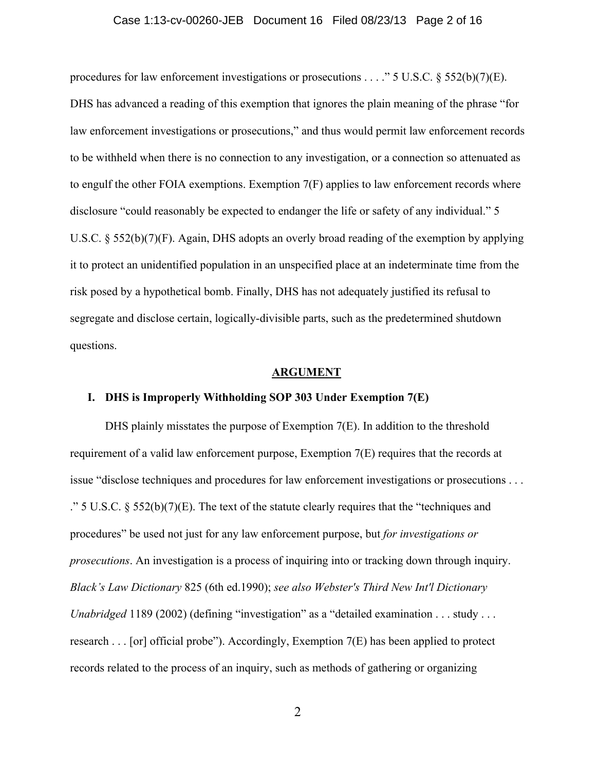#### Case 1:13-cv-00260-JEB Document 16 Filed 08/23/13 Page 2 of 16

procedures for law enforcement investigations or prosecutions . . . ." 5 U.S.C. § 552(b)(7)(E). DHS has advanced a reading of this exemption that ignores the plain meaning of the phrase "for law enforcement investigations or prosecutions," and thus would permit law enforcement records to be withheld when there is no connection to any investigation, or a connection so attenuated as to engulf the other FOIA exemptions. Exemption 7(F) applies to law enforcement records where disclosure "could reasonably be expected to endanger the life or safety of any individual." 5 U.S.C. § 552(b)(7)(F). Again, DHS adopts an overly broad reading of the exemption by applying it to protect an unidentified population in an unspecified place at an indeterminate time from the risk posed by a hypothetical bomb. Finally, DHS has not adequately justified its refusal to segregate and disclose certain, logically-divisible parts, such as the predetermined shutdown questions.

### **ARGUMENT**

#### **I. DHS is Improperly Withholding SOP 303 Under Exemption 7(E)**

DHS plainly misstates the purpose of Exemption 7(E). In addition to the threshold requirement of a valid law enforcement purpose, Exemption 7(E) requires that the records at issue "disclose techniques and procedures for law enforcement investigations or prosecutions . . . ." 5 U.S.C.  $\S$  552(b)(7)(E). The text of the statute clearly requires that the "techniques and procedures" be used not just for any law enforcement purpose, but *for investigations or prosecutions*. An investigation is a process of inquiring into or tracking down through inquiry. *Black's Law Dictionary* 825 (6th ed.1990); *see also Webster's Third New Int'l Dictionary Unabridged* 1189 (2002) (defining "investigation" as a "detailed examination . . . study . . . research . . . [or] official probe"). Accordingly, Exemption 7(E) has been applied to protect records related to the process of an inquiry, such as methods of gathering or organizing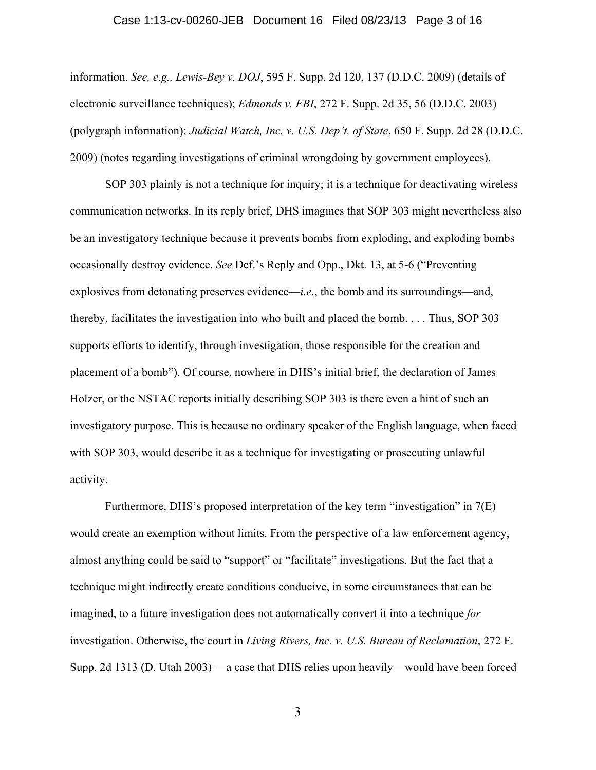#### Case 1:13-cv-00260-JEB Document 16 Filed 08/23/13 Page 3 of 16

information. *See, e.g., Lewis-Bey v. DOJ*, 595 F. Supp. 2d 120, 137 (D.D.C. 2009) (details of electronic surveillance techniques); *Edmonds v. FBI*, 272 F. Supp. 2d 35, 56 (D.D.C. 2003) (polygraph information); *Judicial Watch, Inc. v. U.S. Dep't. of State*, 650 F. Supp. 2d 28 (D.D.C. 2009) (notes regarding investigations of criminal wrongdoing by government employees).

SOP 303 plainly is not a technique for inquiry; it is a technique for deactivating wireless communication networks. In its reply brief, DHS imagines that SOP 303 might nevertheless also be an investigatory technique because it prevents bombs from exploding, and exploding bombs occasionally destroy evidence. *See* Def.'s Reply and Opp., Dkt. 13, at 5-6 ("Preventing explosives from detonating preserves evidence—*i.e.*, the bomb and its surroundings—and, thereby, facilitates the investigation into who built and placed the bomb. . . . Thus, SOP 303 supports efforts to identify, through investigation, those responsible for the creation and placement of a bomb"). Of course, nowhere in DHS's initial brief, the declaration of James Holzer, or the NSTAC reports initially describing SOP 303 is there even a hint of such an investigatory purpose. This is because no ordinary speaker of the English language, when faced with SOP 303, would describe it as a technique for investigating or prosecuting unlawful activity.

Furthermore, DHS's proposed interpretation of the key term "investigation" in 7(E) would create an exemption without limits. From the perspective of a law enforcement agency, almost anything could be said to "support" or "facilitate" investigations. But the fact that a technique might indirectly create conditions conducive, in some circumstances that can be imagined, to a future investigation does not automatically convert it into a technique *for* investigation. Otherwise, the court in *Living Rivers, Inc. v. U.S. Bureau of Reclamation*, 272 F. Supp. 2d 1313 (D. Utah 2003) —a case that DHS relies upon heavily—would have been forced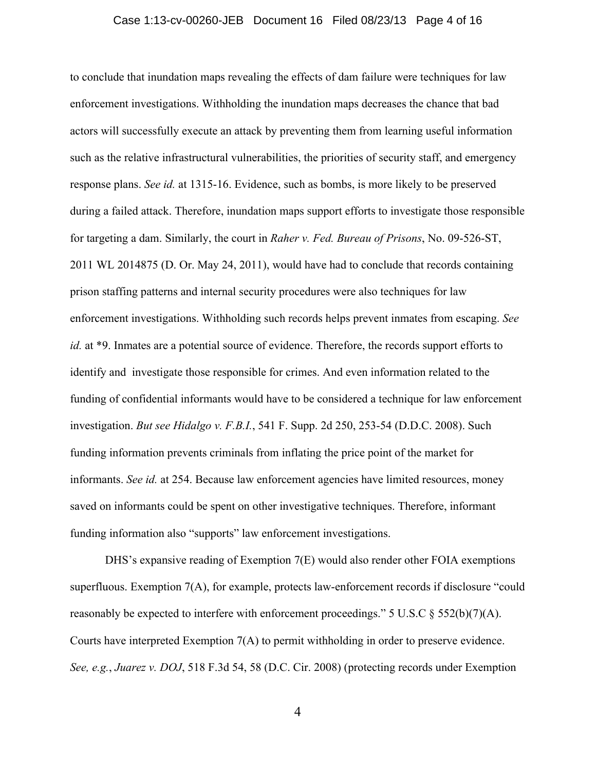#### Case 1:13-cv-00260-JEB Document 16 Filed 08/23/13 Page 4 of 16

to conclude that inundation maps revealing the effects of dam failure were techniques for law enforcement investigations. Withholding the inundation maps decreases the chance that bad actors will successfully execute an attack by preventing them from learning useful information such as the relative infrastructural vulnerabilities, the priorities of security staff, and emergency response plans. *See id.* at 1315-16. Evidence, such as bombs, is more likely to be preserved during a failed attack. Therefore, inundation maps support efforts to investigate those responsible for targeting a dam. Similarly, the court in *Raher v. Fed. Bureau of Prisons*, No. 09-526-ST, 2011 WL 2014875 (D. Or. May 24, 2011), would have had to conclude that records containing prison staffing patterns and internal security procedures were also techniques for law enforcement investigations. Withholding such records helps prevent inmates from escaping. *See id.* at \*9. Inmates are a potential source of evidence. Therefore, the records support efforts to identify and investigate those responsible for crimes. And even information related to the funding of confidential informants would have to be considered a technique for law enforcement investigation. *But see Hidalgo v. F.B.I.*, 541 F. Supp. 2d 250, 253-54 (D.D.C. 2008). Such funding information prevents criminals from inflating the price point of the market for informants. *See id.* at 254. Because law enforcement agencies have limited resources, money saved on informants could be spent on other investigative techniques. Therefore, informant funding information also "supports" law enforcement investigations.

DHS's expansive reading of Exemption 7(E) would also render other FOIA exemptions superfluous. Exemption 7(A), for example, protects law-enforcement records if disclosure "could reasonably be expected to interfere with enforcement proceedings." 5 U.S.C  $\S$  552(b)(7)(A). Courts have interpreted Exemption 7(A) to permit withholding in order to preserve evidence. *See, e.g.*, *Juarez v. DOJ*, 518 F.3d 54, 58 (D.C. Cir. 2008) (protecting records under Exemption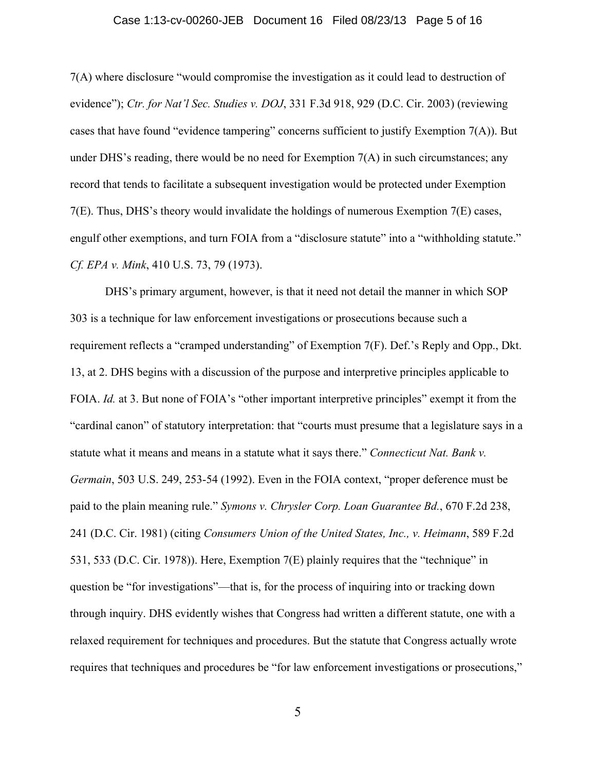#### Case 1:13-cv-00260-JEB Document 16 Filed 08/23/13 Page 5 of 16

7(A) where disclosure "would compromise the investigation as it could lead to destruction of evidence"); *Ctr. for Nat'l Sec. Studies v. DOJ*, 331 F.3d 918, 929 (D.C. Cir. 2003) (reviewing cases that have found "evidence tampering" concerns sufficient to justify Exemption 7(A)). But under DHS's reading, there would be no need for Exemption  $7(A)$  in such circumstances; any record that tends to facilitate a subsequent investigation would be protected under Exemption 7(E). Thus, DHS's theory would invalidate the holdings of numerous Exemption 7(E) cases, engulf other exemptions, and turn FOIA from a "disclosure statute" into a "withholding statute." *Cf. EPA v. Mink*, 410 U.S. 73, 79 (1973).

DHS's primary argument, however, is that it need not detail the manner in which SOP 303 is a technique for law enforcement investigations or prosecutions because such a requirement reflects a "cramped understanding" of Exemption 7(F). Def.'s Reply and Opp., Dkt. 13, at 2. DHS begins with a discussion of the purpose and interpretive principles applicable to FOIA. *Id.* at 3. But none of FOIA's "other important interpretive principles" exempt it from the "cardinal canon" of statutory interpretation: that "courts must presume that a legislature says in a statute what it means and means in a statute what it says there." *Connecticut Nat. Bank v. Germain*, 503 U.S. 249, 253-54 (1992). Even in the FOIA context, "proper deference must be paid to the plain meaning rule." *Symons v. Chrysler Corp. Loan Guarantee Bd.*, 670 F.2d 238, 241 (D.C. Cir. 1981) (citing *Consumers Union of the United States, Inc., v. Heimann*, 589 F.2d 531, 533 (D.C. Cir. 1978)). Here, Exemption 7(E) plainly requires that the "technique" in question be "for investigations"—that is, for the process of inquiring into or tracking down through inquiry. DHS evidently wishes that Congress had written a different statute, one with a relaxed requirement for techniques and procedures. But the statute that Congress actually wrote requires that techniques and procedures be "for law enforcement investigations or prosecutions,"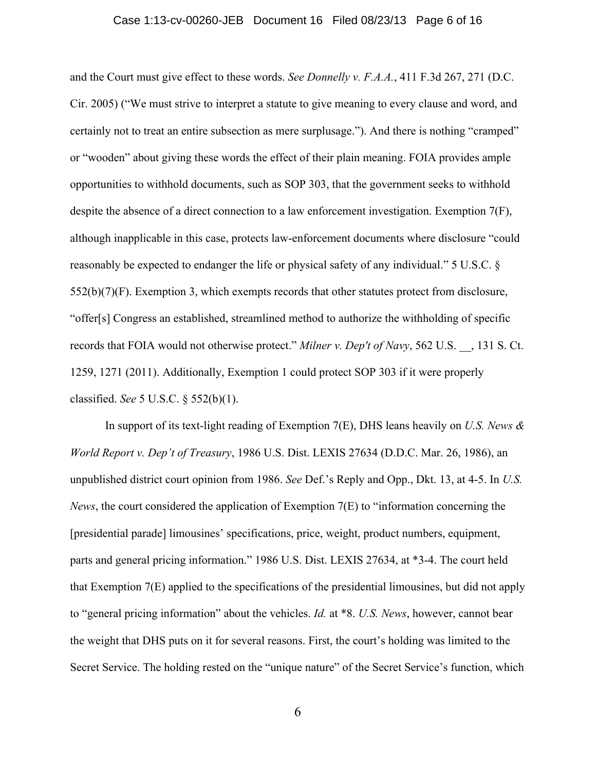#### Case 1:13-cv-00260-JEB Document 16 Filed 08/23/13 Page 6 of 16

and the Court must give effect to these words. *See Donnelly v. F.A.A.*, 411 F.3d 267, 271 (D.C. Cir. 2005) ("We must strive to interpret a statute to give meaning to every clause and word, and certainly not to treat an entire subsection as mere surplusage."). And there is nothing "cramped" or "wooden" about giving these words the effect of their plain meaning. FOIA provides ample opportunities to withhold documents, such as SOP 303, that the government seeks to withhold despite the absence of a direct connection to a law enforcement investigation. Exemption 7(F), although inapplicable in this case, protects law-enforcement documents where disclosure "could reasonably be expected to endanger the life or physical safety of any individual." 5 U.S.C. § 552(b)(7)(F). Exemption 3, which exempts records that other statutes protect from disclosure, "offer[s] Congress an established, streamlined method to authorize the withholding of specific records that FOIA would not otherwise protect." *Milner v. Dep't of Navy*, 562 U.S. \_\_, 131 S. Ct. 1259, 1271 (2011). Additionally, Exemption 1 could protect SOP 303 if it were properly classified. *See* 5 U.S.C. § 552(b)(1).

In support of its text-light reading of Exemption 7(E), DHS leans heavily on *U.S. News & World Report v. Dep't of Treasury*, 1986 U.S. Dist. LEXIS 27634 (D.D.C. Mar. 26, 1986), an unpublished district court opinion from 1986. *See* Def.'s Reply and Opp., Dkt. 13, at 4-5. In *U.S. News*, the court considered the application of Exemption 7(E) to "information concerning the [presidential parade] limousines' specifications, price, weight, product numbers, equipment, parts and general pricing information." 1986 U.S. Dist. LEXIS 27634, at \*3-4. The court held that Exemption 7(E) applied to the specifications of the presidential limousines, but did not apply to "general pricing information" about the vehicles. *Id.* at \*8. *U.S. News*, however, cannot bear the weight that DHS puts on it for several reasons. First, the court's holding was limited to the Secret Service. The holding rested on the "unique nature" of the Secret Service's function, which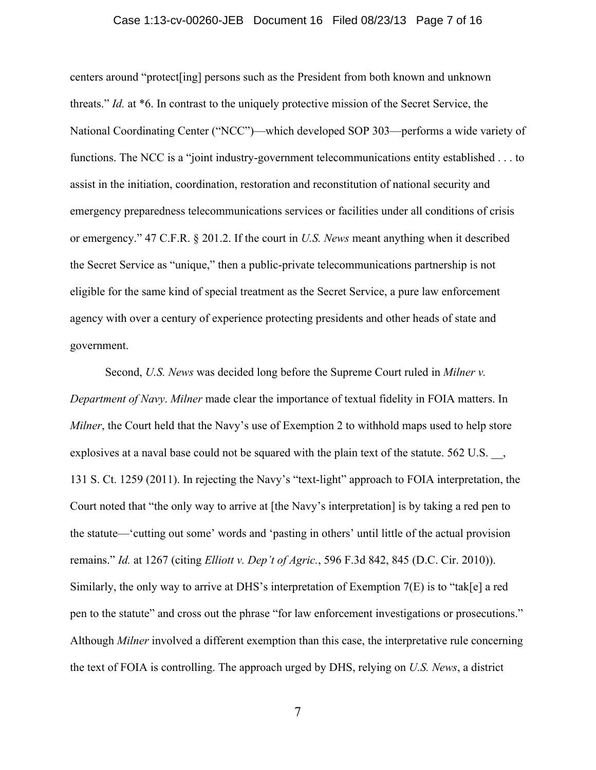#### Case 1:13-cv-00260-JEB Document 16 Filed 08/23/13 Page 7 of 16

centers around "protect[ing] persons such as the President from both known and unknown threats." *Id.* at \*6. In contrast to the uniquely protective mission of the Secret Service, the National Coordinating Center ("NCC")—which developed SOP 303—performs a wide variety of functions. The NCC is a "joint industry-government telecommunications entity established . . . to assist in the initiation, coordination, restoration and reconstitution of national security and emergency preparedness telecommunications services or facilities under all conditions of crisis or emergency." 47 C.F.R. § 201.2. If the court in *U.S. News* meant anything when it described the Secret Service as "unique," then a public-private telecommunications partnership is not eligible for the same kind of special treatment as the Secret Service, a pure law enforcement agency with over a century of experience protecting presidents and other heads of state and government.

Second, *U.S. News* was decided long before the Supreme Court ruled in *Milner v. Department of Navy*. *Milner* made clear the importance of textual fidelity in FOIA matters. In *Milner*, the Court held that the Navy's use of Exemption 2 to withhold maps used to help store explosives at a naval base could not be squared with the plain text of the statute. 562 U.S., 131 S. Ct. 1259 (2011). In rejecting the Navy's "text-light" approach to FOIA interpretation, the Court noted that "the only way to arrive at [the Navy's interpretation] is by taking a red pen to the statute—'cutting out some' words and 'pasting in others' until little of the actual provision remains." *Id.* at 1267 (citing *Elliott v. Dep't of Agric.*, 596 F.3d 842, 845 (D.C. Cir. 2010)). Similarly, the only way to arrive at DHS's interpretation of Exemption 7(E) is to "tak[e] a red pen to the statute" and cross out the phrase "for law enforcement investigations or prosecutions." Although *Milner* involved a different exemption than this case, the interpretative rule concerning the text of FOIA is controlling. The approach urged by DHS, relying on *U.S. News*, a district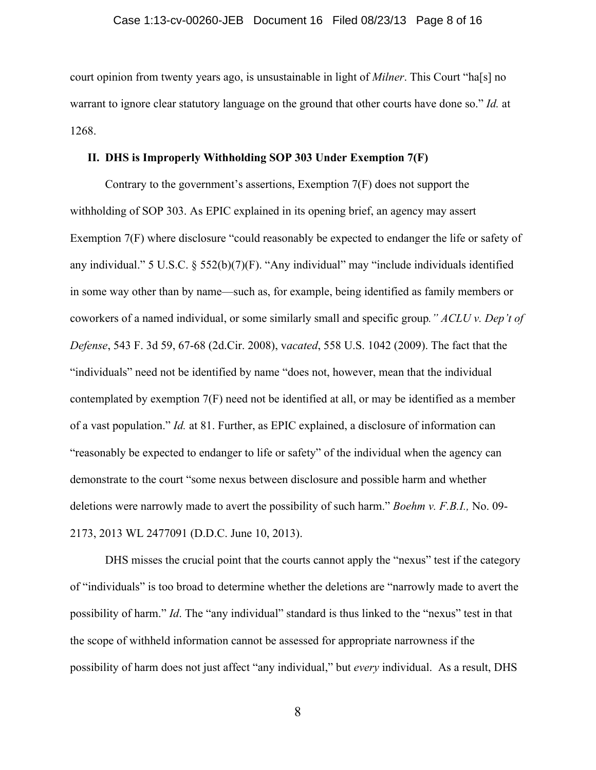court opinion from twenty years ago, is unsustainable in light of *Milner*. This Court "ha[s] no warrant to ignore clear statutory language on the ground that other courts have done so." *Id.* at 1268.

#### **II. DHS is Improperly Withholding SOP 303 Under Exemption 7(F)**

Contrary to the government's assertions, Exemption 7(F) does not support the withholding of SOP 303. As EPIC explained in its opening brief, an agency may assert Exemption 7(F) where disclosure "could reasonably be expected to endanger the life or safety of any individual." 5 U.S.C. § 552(b)(7)(F). "Any individual" may "include individuals identified in some way other than by name—such as, for example, being identified as family members or coworkers of a named individual, or some similarly small and specific group*." ACLU v. Dep't of Defense*, 543 F. 3d 59, 67-68 (2d.Cir. 2008), v*acated*, 558 U.S. 1042 (2009). The fact that the "individuals" need not be identified by name "does not, however, mean that the individual contemplated by exemption 7(F) need not be identified at all, or may be identified as a member of a vast population." *Id.* at 81. Further, as EPIC explained, a disclosure of information can "reasonably be expected to endanger to life or safety" of the individual when the agency can demonstrate to the court "some nexus between disclosure and possible harm and whether deletions were narrowly made to avert the possibility of such harm." *Boehm v. F.B.I.,* No. 09- 2173, 2013 WL 2477091 (D.D.C. June 10, 2013).

DHS misses the crucial point that the courts cannot apply the "nexus" test if the category of "individuals" is too broad to determine whether the deletions are "narrowly made to avert the possibility of harm." *Id*. The "any individual" standard is thus linked to the "nexus" test in that the scope of withheld information cannot be assessed for appropriate narrowness if the possibility of harm does not just affect "any individual," but *every* individual. As a result, DHS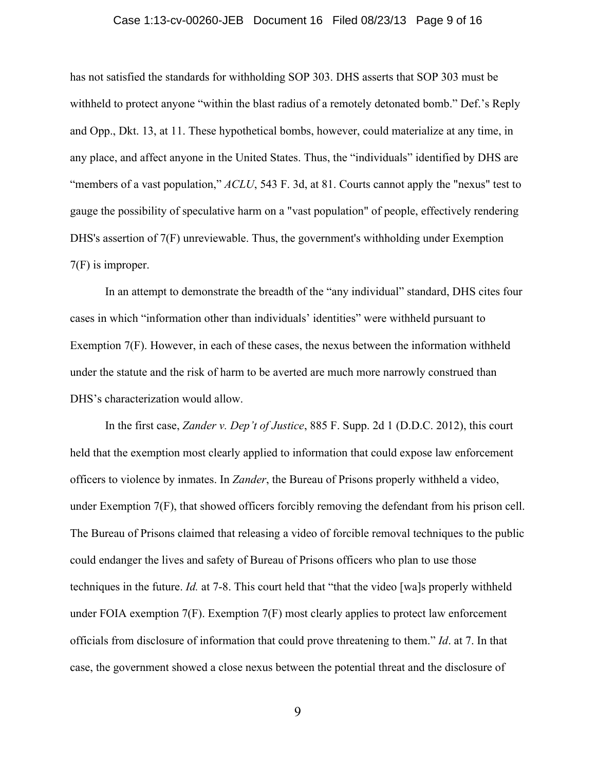#### Case 1:13-cv-00260-JEB Document 16 Filed 08/23/13 Page 9 of 16

has not satisfied the standards for withholding SOP 303. DHS asserts that SOP 303 must be withheld to protect anyone "within the blast radius of a remotely detonated bomb." Def.'s Reply and Opp., Dkt. 13, at 11. These hypothetical bombs, however, could materialize at any time, in any place, and affect anyone in the United States. Thus, the "individuals" identified by DHS are "members of a vast population," *ACLU*, 543 F. 3d, at 81. Courts cannot apply the "nexus" test to gauge the possibility of speculative harm on a "vast population" of people, effectively rendering DHS's assertion of 7(F) unreviewable. Thus, the government's withholding under Exemption 7(F) is improper.

In an attempt to demonstrate the breadth of the "any individual" standard, DHS cites four cases in which "information other than individuals' identities" were withheld pursuant to Exemption 7(F). However, in each of these cases, the nexus between the information withheld under the statute and the risk of harm to be averted are much more narrowly construed than DHS's characterization would allow.

In the first case, *Zander v. Dep't of Justice*, 885 F. Supp. 2d 1 (D.D.C. 2012), this court held that the exemption most clearly applied to information that could expose law enforcement officers to violence by inmates. In *Zander*, the Bureau of Prisons properly withheld a video, under Exemption 7(F), that showed officers forcibly removing the defendant from his prison cell. The Bureau of Prisons claimed that releasing a video of forcible removal techniques to the public could endanger the lives and safety of Bureau of Prisons officers who plan to use those techniques in the future. *Id.* at 7-8. This court held that "that the video [wa]s properly withheld under FOIA exemption 7(F). Exemption 7(F) most clearly applies to protect law enforcement officials from disclosure of information that could prove threatening to them." *Id*. at 7. In that case, the government showed a close nexus between the potential threat and the disclosure of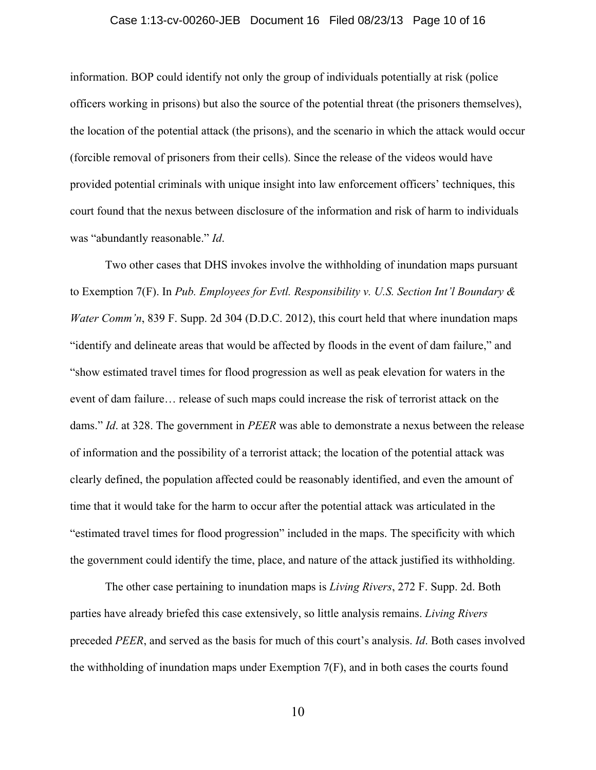#### Case 1:13-cv-00260-JEB Document 16 Filed 08/23/13 Page 10 of 16

information. BOP could identify not only the group of individuals potentially at risk (police officers working in prisons) but also the source of the potential threat (the prisoners themselves), the location of the potential attack (the prisons), and the scenario in which the attack would occur (forcible removal of prisoners from their cells). Since the release of the videos would have provided potential criminals with unique insight into law enforcement officers' techniques, this court found that the nexus between disclosure of the information and risk of harm to individuals was "abundantly reasonable." *Id*.

Two other cases that DHS invokes involve the withholding of inundation maps pursuant to Exemption 7(F). In *Pub. Employees for Evtl. Responsibility v. U.S. Section Int'l Boundary & Water Comm'n*, 839 F. Supp. 2d 304 (D.D.C. 2012), this court held that where inundation maps "identify and delineate areas that would be affected by floods in the event of dam failure," and "show estimated travel times for flood progression as well as peak elevation for waters in the event of dam failure… release of such maps could increase the risk of terrorist attack on the dams." *Id*. at 328. The government in *PEER* was able to demonstrate a nexus between the release of information and the possibility of a terrorist attack; the location of the potential attack was clearly defined, the population affected could be reasonably identified, and even the amount of time that it would take for the harm to occur after the potential attack was articulated in the "estimated travel times for flood progression" included in the maps. The specificity with which the government could identify the time, place, and nature of the attack justified its withholding.

The other case pertaining to inundation maps is *Living Rivers*, 272 F. Supp. 2d. Both parties have already briefed this case extensively, so little analysis remains. *Living Rivers* preceded *PEER*, and served as the basis for much of this court's analysis. *Id*. Both cases involved the withholding of inundation maps under Exemption 7(F), and in both cases the courts found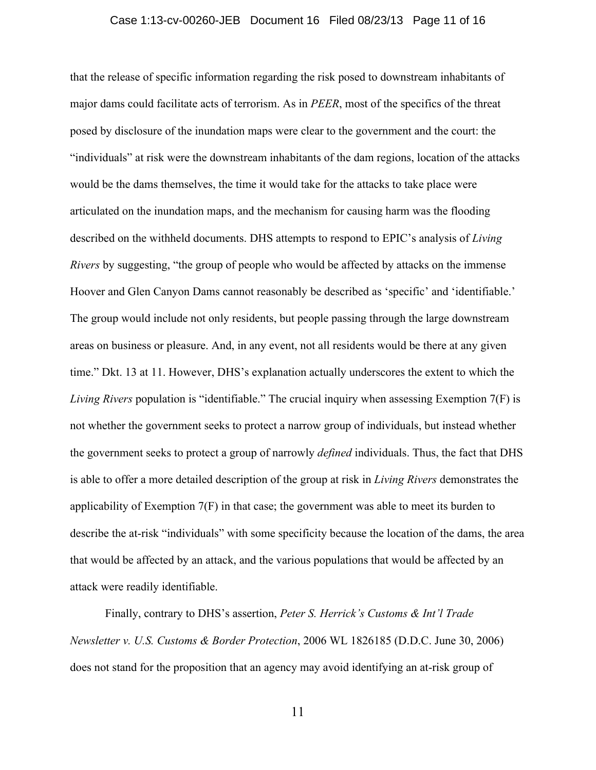#### Case 1:13-cv-00260-JEB Document 16 Filed 08/23/13 Page 11 of 16

that the release of specific information regarding the risk posed to downstream inhabitants of major dams could facilitate acts of terrorism. As in *PEER*, most of the specifics of the threat posed by disclosure of the inundation maps were clear to the government and the court: the "individuals" at risk were the downstream inhabitants of the dam regions, location of the attacks would be the dams themselves, the time it would take for the attacks to take place were articulated on the inundation maps, and the mechanism for causing harm was the flooding described on the withheld documents. DHS attempts to respond to EPIC's analysis of *Living Rivers* by suggesting, "the group of people who would be affected by attacks on the immense Hoover and Glen Canyon Dams cannot reasonably be described as 'specific' and 'identifiable.' The group would include not only residents, but people passing through the large downstream areas on business or pleasure. And, in any event, not all residents would be there at any given time." Dkt. 13 at 11. However, DHS's explanation actually underscores the extent to which the *Living Rivers* population is "identifiable." The crucial inquiry when assessing Exemption 7(F) is not whether the government seeks to protect a narrow group of individuals, but instead whether the government seeks to protect a group of narrowly *defined* individuals. Thus, the fact that DHS is able to offer a more detailed description of the group at risk in *Living Rivers* demonstrates the applicability of Exemption  $7(F)$  in that case; the government was able to meet its burden to describe the at-risk "individuals" with some specificity because the location of the dams, the area that would be affected by an attack, and the various populations that would be affected by an attack were readily identifiable.

Finally, contrary to DHS's assertion, *Peter S. Herrick's Customs & Int'l Trade Newsletter v. U.S. Customs & Border Protection*, 2006 WL 1826185 (D.D.C. June 30, 2006) does not stand for the proposition that an agency may avoid identifying an at-risk group of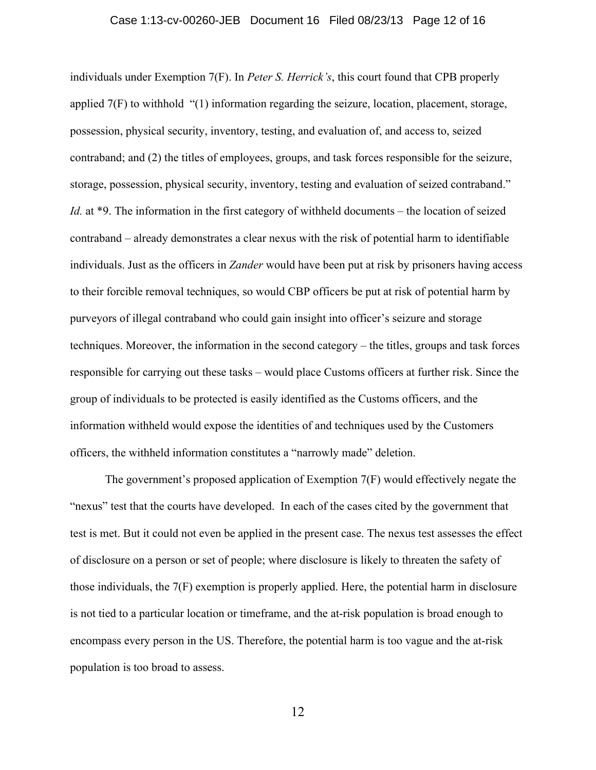#### Case 1:13-cv-00260-JEB Document 16 Filed 08/23/13 Page 12 of 16

individuals under Exemption 7(F). In *Peter S. Herrick's*, this court found that CPB properly applied 7(F) to withhold "(1) information regarding the seizure, location, placement, storage, possession, physical security, inventory, testing, and evaluation of, and access to, seized contraband; and (2) the titles of employees, groups, and task forces responsible for the seizure, storage, possession, physical security, inventory, testing and evaluation of seized contraband." *Id.* at \*9. The information in the first category of withheld documents – the location of seized contraband – already demonstrates a clear nexus with the risk of potential harm to identifiable individuals. Just as the officers in *Zander* would have been put at risk by prisoners having access to their forcible removal techniques, so would CBP officers be put at risk of potential harm by purveyors of illegal contraband who could gain insight into officer's seizure and storage techniques. Moreover, the information in the second category – the titles, groups and task forces responsible for carrying out these tasks – would place Customs officers at further risk. Since the group of individuals to be protected is easily identified as the Customs officers, and the information withheld would expose the identities of and techniques used by the Customers officers, the withheld information constitutes a "narrowly made" deletion.

The government's proposed application of Exemption 7(F) would effectively negate the "nexus" test that the courts have developed. In each of the cases cited by the government that test is met. But it could not even be applied in the present case. The nexus test assesses the effect of disclosure on a person or set of people; where disclosure is likely to threaten the safety of those individuals, the 7(F) exemption is properly applied. Here, the potential harm in disclosure is not tied to a particular location or timeframe, and the at-risk population is broad enough to encompass every person in the US. Therefore, the potential harm is too vague and the at-risk population is too broad to assess.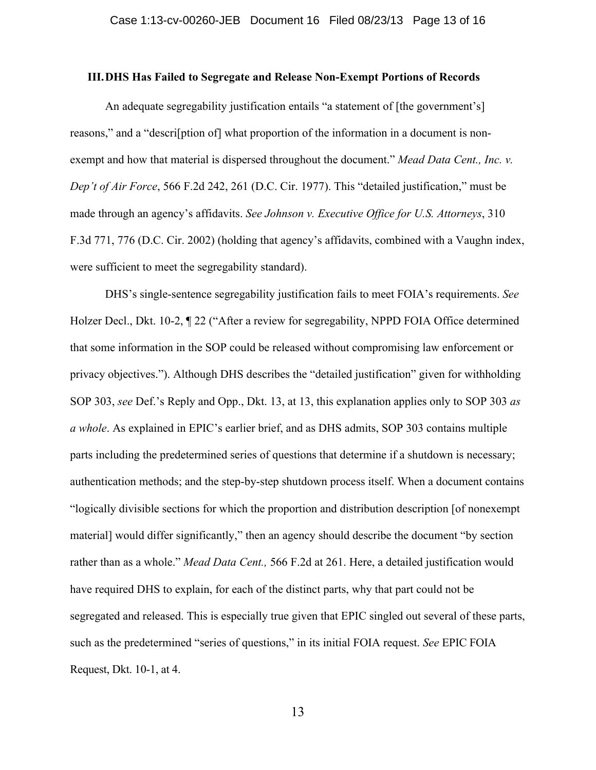#### **III.DHS Has Failed to Segregate and Release Non-Exempt Portions of Records**

An adequate segregability justification entails "a statement of [the government's] reasons," and a "descri[ption of] what proportion of the information in a document is nonexempt and how that material is dispersed throughout the document." *Mead Data Cent., Inc. v. Dep't of Air Force*, 566 F.2d 242, 261 (D.C. Cir. 1977). This "detailed justification," must be made through an agency's affidavits. *See Johnson v. Executive Office for U.S. Attorneys*, 310 F.3d 771, 776 (D.C. Cir. 2002) (holding that agency's affidavits, combined with a Vaughn index, were sufficient to meet the segregability standard).

DHS's single-sentence segregability justification fails to meet FOIA's requirements. *See* Holzer Decl., Dkt. 10-2,  $\P$  22 ("After a review for segregability, NPPD FOIA Office determined that some information in the SOP could be released without compromising law enforcement or privacy objectives."). Although DHS describes the "detailed justification" given for withholding SOP 303, *see* Def.'s Reply and Opp., Dkt. 13, at 13, this explanation applies only to SOP 303 *as a whole*. As explained in EPIC's earlier brief, and as DHS admits, SOP 303 contains multiple parts including the predetermined series of questions that determine if a shutdown is necessary; authentication methods; and the step-by-step shutdown process itself. When a document contains "logically divisible sections for which the proportion and distribution description [of nonexempt material] would differ significantly," then an agency should describe the document "by section rather than as a whole." *Mead Data Cent.,* 566 F.2d at 261. Here, a detailed justification would have required DHS to explain, for each of the distinct parts, why that part could not be segregated and released. This is especially true given that EPIC singled out several of these parts, such as the predetermined "series of questions," in its initial FOIA request. *See* EPIC FOIA Request, Dkt. 10-1, at 4.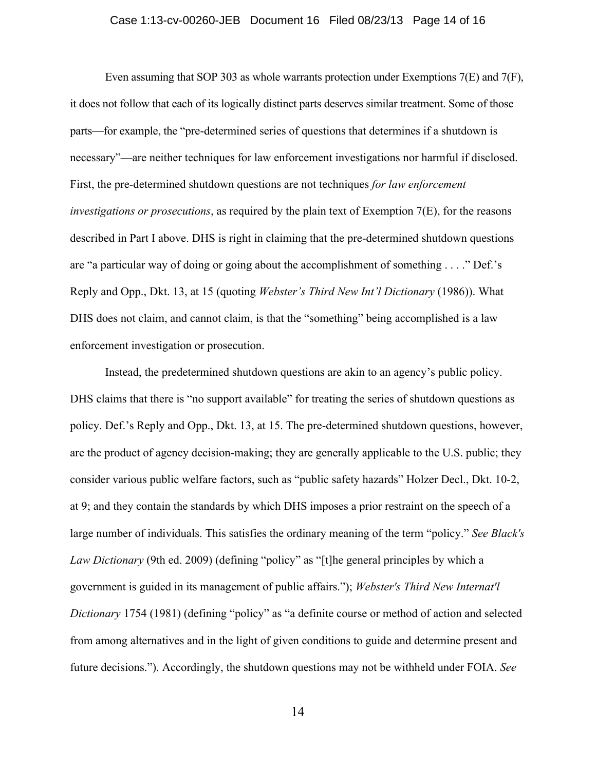#### Case 1:13-cv-00260-JEB Document 16 Filed 08/23/13 Page 14 of 16

Even assuming that SOP 303 as whole warrants protection under Exemptions 7(E) and 7(F), it does not follow that each of its logically distinct parts deserves similar treatment. Some of those parts—for example, the "pre-determined series of questions that determines if a shutdown is necessary"—are neither techniques for law enforcement investigations nor harmful if disclosed. First, the pre-determined shutdown questions are not techniques *for law enforcement investigations or prosecutions*, as required by the plain text of Exemption 7(E), for the reasons described in Part I above. DHS is right in claiming that the pre-determined shutdown questions are "a particular way of doing or going about the accomplishment of something . . . ." Def.'s Reply and Opp., Dkt. 13, at 15 (quoting *Webster's Third New Int'l Dictionary* (1986)). What DHS does not claim, and cannot claim, is that the "something" being accomplished is a law enforcement investigation or prosecution.

Instead, the predetermined shutdown questions are akin to an agency's public policy. DHS claims that there is "no support available" for treating the series of shutdown questions as policy. Def.'s Reply and Opp., Dkt. 13, at 15. The pre-determined shutdown questions, however, are the product of agency decision-making; they are generally applicable to the U.S. public; they consider various public welfare factors, such as "public safety hazards" Holzer Decl., Dkt. 10-2, at 9; and they contain the standards by which DHS imposes a prior restraint on the speech of a large number of individuals. This satisfies the ordinary meaning of the term "policy." *See Black's Law Dictionary* (9th ed. 2009) (defining "policy" as "[t]he general principles by which a government is guided in its management of public affairs."); *Webster's Third New Internat'l Dictionary* 1754 (1981) (defining "policy" as "a definite course or method of action and selected from among alternatives and in the light of given conditions to guide and determine present and future decisions."). Accordingly, the shutdown questions may not be withheld under FOIA. *See*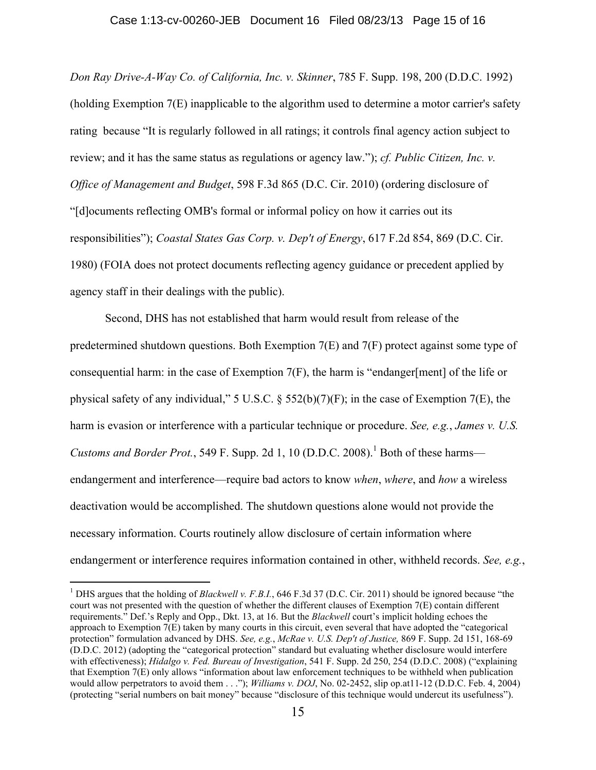#### Case 1:13-cv-00260-JEB Document 16 Filed 08/23/13 Page 15 of 16

*Don Ray Drive-A-Way Co. of California, Inc. v. Skinner*, 785 F. Supp. 198, 200 (D.D.C. 1992) (holding Exemption 7(E) inapplicable to the algorithm used to determine a motor carrier's safety rating because "It is regularly followed in all ratings; it controls final agency action subject to review; and it has the same status as regulations or agency law."); *cf. Public Citizen, Inc. v. Office of Management and Budget*, 598 F.3d 865 (D.C. Cir. 2010) (ordering disclosure of "[d]ocuments reflecting OMB's formal or informal policy on how it carries out its responsibilities"); *Coastal States Gas Corp. v. Dep't of Energy*, 617 F.2d 854, 869 (D.C. Cir. 1980) (FOIA does not protect documents reflecting agency guidance or precedent applied by agency staff in their dealings with the public).

Second, DHS has not established that harm would result from release of the predetermined shutdown questions. Both Exemption 7(E) and 7(F) protect against some type of consequential harm: in the case of Exemption  $7(F)$ , the harm is "endanger[ment] of the life or physical safety of any individual," 5 U.S.C. § 552(b)(7)(F); in the case of Exemption 7(E), the harm is evasion or interference with a particular technique or procedure. *See, e.g.*, *James v. U.S. Customs and Border Prot.*, 549 F. Supp. 2d 1, 10 (D.D.C. 2008).<sup>1</sup> Both of these harms endangerment and interference—require bad actors to know *when*, *where*, and *how* a wireless deactivation would be accomplished. The shutdown questions alone would not provide the necessary information. Courts routinely allow disclosure of certain information where endangerment or interference requires information contained in other, withheld records. *See, e.g.*,

 $\frac{1}{1}$ <sup>1</sup> DHS argues that the holding of *Blackwell v. F.B.I.*, 646 F.3d 37 (D.C. Cir. 2011) should be ignored because "the court was not presented with the question of whether the different clauses of Exemption 7(E) contain different requirements." Def.'s Reply and Opp., Dkt. 13, at 16. But the *Blackwell* court's implicit holding echoes the approach to Exemption 7(E) taken by many courts in this circuit, even several that have adopted the "categorical protection" formulation advanced by DHS. *See, e.g.*, *McRae v. U.S. Dep't of Justice,* 869 F. Supp. 2d 151, 168-69 (D.D.C. 2012) (adopting the "categorical protection" standard but evaluating whether disclosure would interfere with effectiveness); *Hidalgo v. Fed. Bureau of Investigation*, 541 F. Supp. 2d 250, 254 (D.D.C. 2008) ("explaining that Exemption 7(E) only allows "information about law enforcement techniques to be withheld when publication would allow perpetrators to avoid them . . ."); *Williams v. DOJ*, No. 02-2452, slip op.at11-12 (D.D.C. Feb. 4, 2004) (protecting "serial numbers on bait money" because "disclosure of this technique would undercut its usefulness").